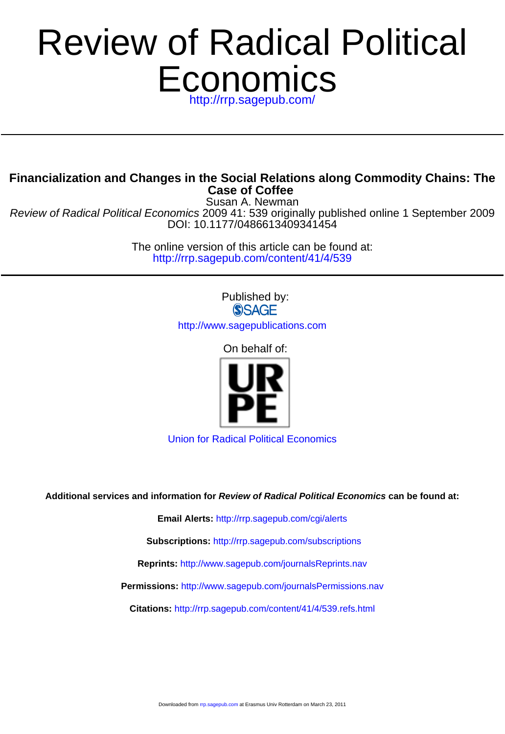# **Economics** <http://rrp.sagepub.com/> Review of Radical Political

#### **Case of Coffee Financialization and Changes in the Social Relations along Commodity Chains: The**

Susan A. Newman

DOI: 10.1177/0486613409341454 Review of Radical Political Economics 2009 41: 539 originally published online 1 September 2009

> <http://rrp.sagepub.com/content/41/4/539> The online version of this article can be found at:

> > Published by: **SSAGE**

<http://www.sagepublications.com>

On behalf of:



[Union for Radical Political Economics](http://www.urpe.org)

**Additional services and information for Review of Radical Political Economics can be found at:**

**Email Alerts:** <http://rrp.sagepub.com/cgi/alerts>

**Subscriptions:** <http://rrp.sagepub.com/subscriptions>

**Reprints:** <http://www.sagepub.com/journalsReprints.nav>

**Permissions:** <http://www.sagepub.com/journalsPermissions.nav>

**Citations:** <http://rrp.sagepub.com/content/41/4/539.refs.html>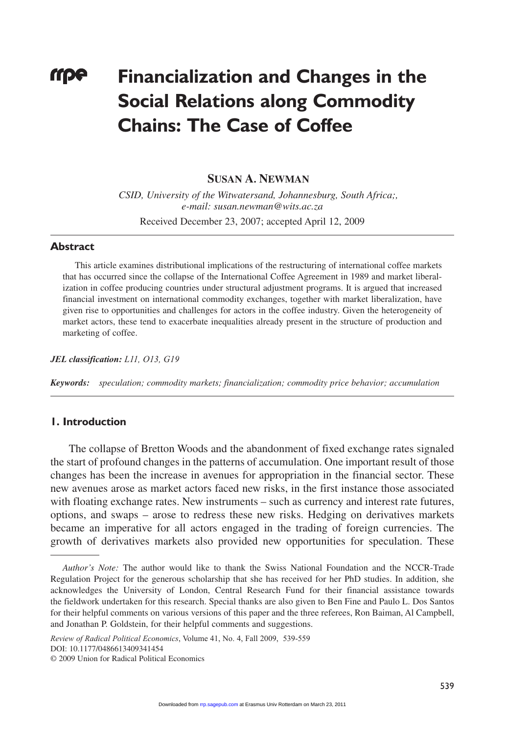### rrpe

## **Financialization and Changes in the Social Relations along Commodity Chains: The Case of Coffee**

#### **Susan A. Newman**

*CSID, University of the Witwatersand, Johannesburg, South Africa;, e-mail: susan.newman@wits.ac.za*

Received December 23, 2007; accepted April 12, 2009

#### **Abstract**

This article examines distributional implications of the restructuring of international coffee markets that has occurred since the collapse of the International Coffee Agreement in 1989 and market liberalization in coffee producing countries under structural adjustment programs. It is argued that increased financial investment on international commodity exchanges, together with market liberalization, have given rise to opportunities and challenges for actors in the coffee industry. Given the heterogeneity of market actors, these tend to exacerbate inequalities already present in the structure of production and marketing of coffee.

*JEL classification: L11, O13, G19*

*Keywords:**speculation; commodity markets; financialization; commodity price behavior; accumulation*

#### **1. Introduction**

The collapse of Bretton Woods and the abandonment of fixed exchange rates signaled the start of profound changes in the patterns of accumulation. One important result of those changes has been the increase in avenues for appropriation in the financial sector. These new avenues arose as market actors faced new risks, in the first instance those associated with floating exchange rates. New instruments – such as currency and interest rate futures, options, and swaps – arose to redress these new risks. Hedging on derivatives markets became an imperative for all actors engaged in the trading of foreign currencies. The growth of derivatives markets also provided new opportunities for speculation. These

*Author's Note:* The author would like to thank the Swiss National Foundation and the NCCR-Trade Regulation Project for the generous scholarship that she has received for her PhD studies. In addition, she acknowledges the University of London, Central Research Fund for their financial assistance towards the fieldwork undertaken for this research. Special thanks are also given to Ben Fine and Paulo L. Dos Santos for their helpful comments on various versions of this paper and the three referees, Ron Baiman, Al Campbell, and Jonathan P. Goldstein, for their helpful comments and suggestions.

*Review of Radical Political Economics*, Volume 41, No. 4, Fall 2009, 539-559 DOI: 10.1177/0486613409341454

<sup>© 2009</sup> Union for Radical Political Economics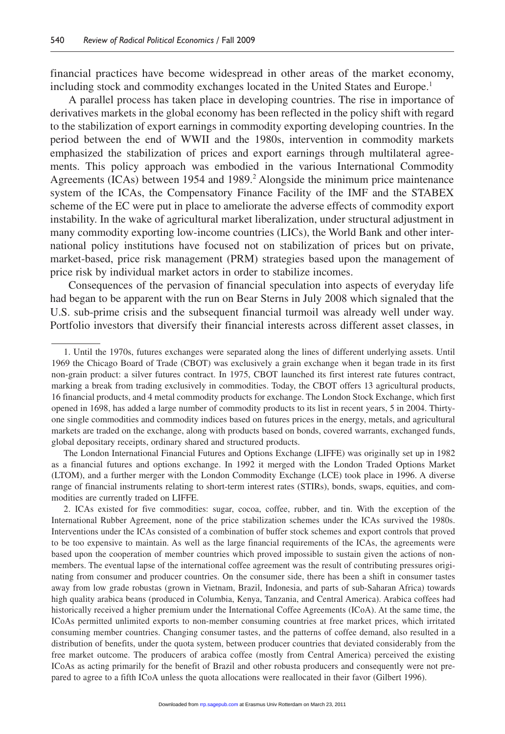financial practices have become widespread in other areas of the market economy, including stock and commodity exchanges located in the United States and Europe.<sup>1</sup>

A parallel process has taken place in developing countries. The rise in importance of derivatives markets in the global economy has been reflected in the policy shift with regard to the stabilization of export earnings in commodity exporting developing countries. In the period between the end of WWII and the 1980s, intervention in commodity markets emphasized the stabilization of prices and export earnings through multilateral agreements. This policy approach was embodied in the various International Commodity Agreements (ICAs) between 1954 and 1989.<sup>2</sup> Alongside the minimum price maintenance system of the ICAs, the Compensatory Finance Facility of the IMF and the STABEX scheme of the EC were put in place to ameliorate the adverse effects of commodity export instability. In the wake of agricultural market liberalization, under structural adjustment in many commodity exporting low-income countries (LICs), the World Bank and other international policy institutions have focused not on stabilization of prices but on private, market-based, price risk management (PRM) strategies based upon the management of price risk by individual market actors in order to stabilize incomes.

Consequences of the pervasion of financial speculation into aspects of everyday life had began to be apparent with the run on Bear Sterns in July 2008 which signaled that the U.S. sub-prime crisis and the subsequent financial turmoil was already well under way. Portfolio investors that diversify their financial interests across different asset classes, in

The London International Financial Futures and Options Exchange (LIFFE) was originally set up in 1982 as a financial futures and options exchange. In 1992 it merged with the London Traded Options Market (LTOM), and a further merger with the London Commodity Exchange (LCE) took place in 1996. A diverse range of financial instruments relating to short-term interest rates (STIRs), bonds, swaps, equities, and commodities are currently traded on LIFFE.

2. ICAs existed for five commodities: sugar, cocoa, coffee, rubber, and tin. With the exception of the International Rubber Agreement, none of the price stabilization schemes under the ICAs survived the 1980s. Interventions under the ICAs consisted of a combination of buffer stock schemes and export controls that proved to be too expensive to maintain. As well as the large financial requirements of the ICAs, the agreements were based upon the cooperation of member countries which proved impossible to sustain given the actions of nonmembers. The eventual lapse of the international coffee agreement was the result of contributing pressures originating from consumer and producer countries. On the consumer side, there has been a shift in consumer tastes away from low grade robustas (grown in Vietnam, Brazil, Indonesia, and parts of sub-Saharan Africa) towards high quality arabica beans (produced in Columbia, Kenya, Tanzania, and Central America). Arabica coffees had historically received a higher premium under the International Coffee Agreements (ICoA). At the same time, the ICoAs permitted unlimited exports to non-member consuming countries at free market prices, which irritated consuming member countries. Changing consumer tastes, and the patterns of coffee demand, also resulted in a distribution of benefits, under the quota system, between producer countries that deviated considerably from the free market outcome. The producers of arabica coffee (mostly from Central America) perceived the existing ICoAs as acting primarily for the benefit of Brazil and other robusta producers and consequently were not prepared to agree to a fifth ICoA unless the quota allocations were reallocated in their favor (Gilbert 1996).

<sup>1.</sup> Until the 1970s, futures exchanges were separated along the lines of different underlying assets. Until 1969 the Chicago Board of Trade (CBOT) was exclusively a grain exchange when it began trade in its first non-grain product: a silver futures contract. In 1975, CBOT launched its first interest rate futures contract, marking a break from trading exclusively in commodities. Today, the CBOT offers 13 agricultural products, 16 financial products, and 4 metal commodity products for exchange. The London Stock Exchange, which first opened in 1698, has added a large number of commodity products to its list in recent years, 5 in 2004. Thirtyone single commodities and commodity indices based on futures prices in the energy, metals, and agricultural markets are traded on the exchange, along with products based on bonds, covered warrants, exchanged funds, global depositary receipts, ordinary shared and structured products.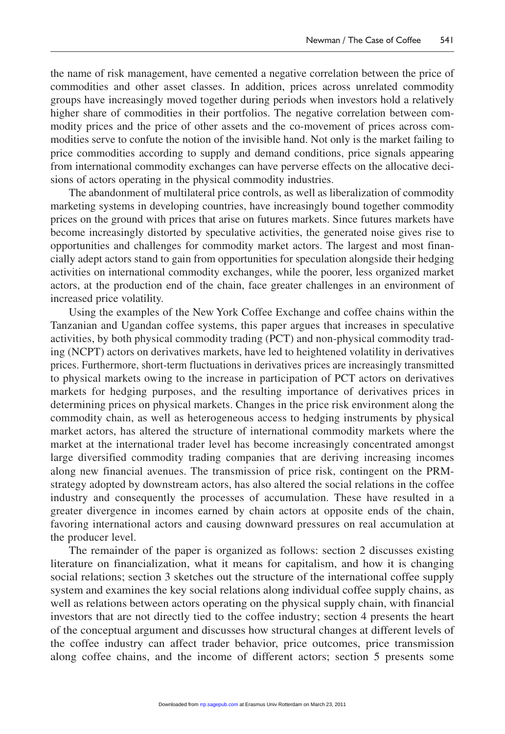the name of risk management, have cemented a negative correlation between the price of commodities and other asset classes. In addition, prices across unrelated commodity groups have increasingly moved together during periods when investors hold a relatively higher share of commodities in their portfolios. The negative correlation between commodity prices and the price of other assets and the co-movement of prices across commodities serve to confute the notion of the invisible hand. Not only is the market failing to price commodities according to supply and demand conditions, price signals appearing from international commodity exchanges can have perverse effects on the allocative decisions of actors operating in the physical commodity industries.

The abandonment of multilateral price controls, as well as liberalization of commodity marketing systems in developing countries, have increasingly bound together commodity prices on the ground with prices that arise on futures markets. Since futures markets have become increasingly distorted by speculative activities, the generated noise gives rise to opportunities and challenges for commodity market actors. The largest and most financially adept actors stand to gain from opportunities for speculation alongside their hedging activities on international commodity exchanges, while the poorer, less organized market actors, at the production end of the chain, face greater challenges in an environment of increased price volatility.

Using the examples of the New York Coffee Exchange and coffee chains within the Tanzanian and Ugandan coffee systems, this paper argues that increases in speculative activities, by both physical commodity trading (PCT) and non-physical commodity trading (NCPT) actors on derivatives markets, have led to heightened volatility in derivatives prices. Furthermore, short-term fluctuations in derivatives prices are increasingly transmitted to physical markets owing to the increase in participation of PCT actors on derivatives markets for hedging purposes, and the resulting importance of derivatives prices in determining prices on physical markets. Changes in the price risk environment along the commodity chain, as well as heterogeneous access to hedging instruments by physical market actors, has altered the structure of international commodity markets where the market at the international trader level has become increasingly concentrated amongst large diversified commodity trading companies that are deriving increasing incomes along new financial avenues. The transmission of price risk, contingent on the PRMstrategy adopted by downstream actors, has also altered the social relations in the coffee industry and consequently the processes of accumulation. These have resulted in a greater divergence in incomes earned by chain actors at opposite ends of the chain, favoring international actors and causing downward pressures on real accumulation at the producer level.

The remainder of the paper is organized as follows: section 2 discusses existing literature on financialization, what it means for capitalism, and how it is changing social relations; section 3 sketches out the structure of the international coffee supply system and examines the key social relations along individual coffee supply chains, as well as relations between actors operating on the physical supply chain, with financial investors that are not directly tied to the coffee industry; section 4 presents the heart of the conceptual argument and discusses how structural changes at different levels of the coffee industry can affect trader behavior, price outcomes, price transmission along coffee chains, and the income of different actors; section 5 presents some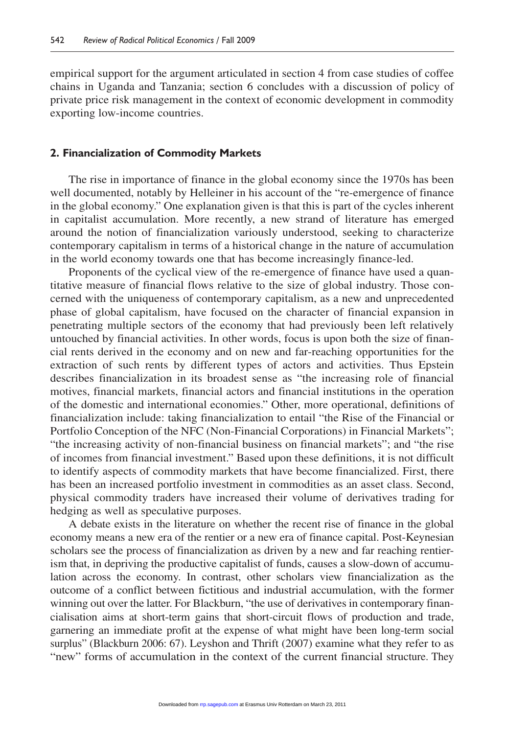empirical support for the argument articulated in section 4 from case studies of coffee chains in Uganda and Tanzania; section 6 concludes with a discussion of policy of private price risk management in the context of economic development in commodity exporting low-income countries.

#### **2. Financialization of Commodity Markets**

The rise in importance of finance in the global economy since the 1970s has been well documented, notably by Helleiner in his account of the "re-emergence of finance in the global economy." One explanation given is that this is part of the cycles inherent in capitalist accumulation. More recently, a new strand of literature has emerged around the notion of financialization variously understood, seeking to characterize contemporary capitalism in terms of a historical change in the nature of accumulation in the world economy towards one that has become increasingly finance-led.

Proponents of the cyclical view of the re-emergence of finance have used a quantitative measure of financial flows relative to the size of global industry. Those concerned with the uniqueness of contemporary capitalism, as a new and unprecedented phase of global capitalism, have focused on the character of financial expansion in penetrating multiple sectors of the economy that had previously been left relatively untouched by financial activities. In other words, focus is upon both the size of financial rents derived in the economy and on new and far-reaching opportunities for the extraction of such rents by different types of actors and activities. Thus Epstein describes financialization in its broadest sense as "the increasing role of financial motives, financial markets, financial actors and financial institutions in the operation of the domestic and international economies." Other, more operational, definitions of financialization include: taking financialization to entail "the Rise of the Financial or Portfolio Conception of the NFC (Non-Financial Corporations) in Financial Markets"; "the increasing activity of non-financial business on financial markets"; and "the rise of incomes from financial investment." Based upon these definitions, it is not difficult to identify aspects of commodity markets that have become financialized. First, there has been an increased portfolio investment in commodities as an asset class. Second, physical commodity traders have increased their volume of derivatives trading for hedging as well as speculative purposes.

A debate exists in the literature on whether the recent rise of finance in the global economy means a new era of the rentier or a new era of finance capital. Post-Keynesian scholars see the process of financialization as driven by a new and far reaching rentierism that, in depriving the productive capitalist of funds, causes a slow-down of accumulation across the economy. In contrast, other scholars view financialization as the outcome of a conflict between fictitious and industrial accumulation, with the former winning out over the latter. For Blackburn, "the use of derivatives in contemporary financialisation aims at short-term gains that short-circuit flows of production and trade, garnering an immediate profit at the expense of what might have been long-term social surplus" (Blackburn 2006: 67). Leyshon and Thrift (2007) examine what they refer to as "new" forms of accumulation in the context of the current financial structure. They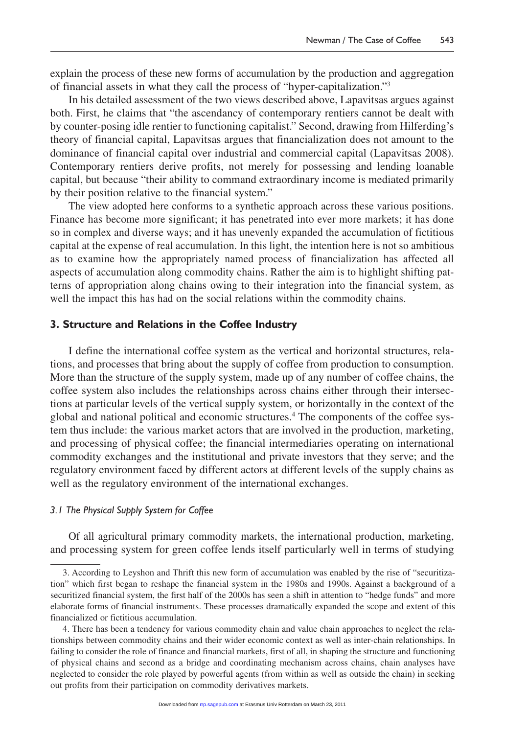explain the process of these new forms of accumulation by the production and aggregation of financial assets in what they call the process of "hyper-capitalization."3

In his detailed assessment of the two views described above, Lapavitsas argues against both. First, he claims that "the ascendancy of contemporary rentiers cannot be dealt with by counter-posing idle rentier to functioning capitalist." Second, drawing from Hilferding's theory of financial capital, Lapavitsas argues that financialization does not amount to the dominance of financial capital over industrial and commercial capital (Lapavitsas 2008). Contemporary rentiers derive profits, not merely for possessing and lending loanable capital, but because "their ability to command extraordinary income is mediated primarily by their position relative to the financial system."

The view adopted here conforms to a synthetic approach across these various positions. Finance has become more significant; it has penetrated into ever more markets; it has done so in complex and diverse ways; and it has unevenly expanded the accumulation of fictitious capital at the expense of real accumulation. In this light, the intention here is not so ambitious as to examine how the appropriately named process of financialization has affected all aspects of accumulation along commodity chains. Rather the aim is to highlight shifting patterns of appropriation along chains owing to their integration into the financial system, as well the impact this has had on the social relations within the commodity chains.

#### **3. Structure and Relations in the Coffee Industry**

I define the international coffee system as the vertical and horizontal structures, relations, and processes that bring about the supply of coffee from production to consumption. More than the structure of the supply system, made up of any number of coffee chains, the coffee system also includes the relationships across chains either through their intersections at particular levels of the vertical supply system, or horizontally in the context of the global and national political and economic structures.<sup>4</sup> The components of the coffee system thus include: the various market actors that are involved in the production, marketing, and processing of physical coffee; the financial intermediaries operating on international commodity exchanges and the institutional and private investors that they serve; and the regulatory environment faced by different actors at different levels of the supply chains as well as the regulatory environment of the international exchanges.

#### *3.1 The Physical Supply System for Coffee*

Of all agricultural primary commodity markets, the international production, marketing, and processing system for green coffee lends itself particularly well in terms of studying

<sup>3.</sup> According to Leyshon and Thrift this new form of accumulation was enabled by the rise of "securitization" which first began to reshape the financial system in the 1980s and 1990s. Against a background of a securitized financial system, the first half of the 2000s has seen a shift in attention to "hedge funds" and more elaborate forms of financial instruments. These processes dramatically expanded the scope and extent of this financialized or fictitious accumulation.

<sup>4.</sup> There has been a tendency for various commodity chain and value chain approaches to neglect the relationships between commodity chains and their wider economic context as well as inter-chain relationships. In failing to consider the role of finance and financial markets, first of all, in shaping the structure and functioning of physical chains and second as a bridge and coordinating mechanism across chains, chain analyses have neglected to consider the role played by powerful agents (from within as well as outside the chain) in seeking out profits from their participation on commodity derivatives markets.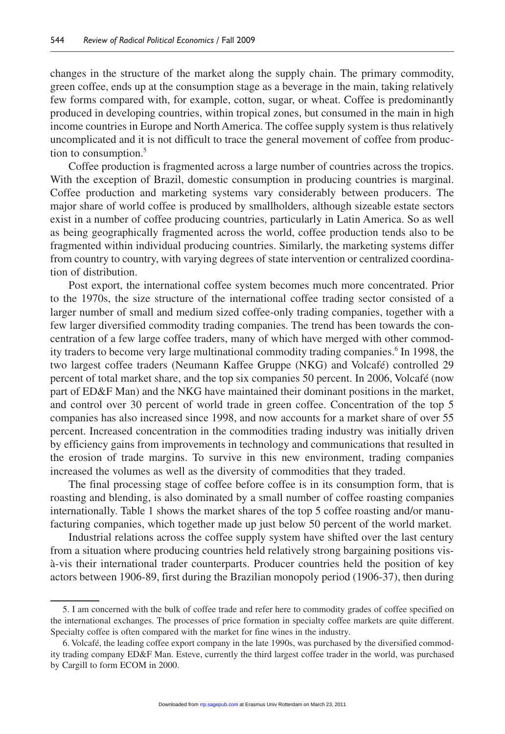changes in the structure of the market along the supply chain. The primary commodity, green coffee, ends up at the consumption stage as a beverage in the main, taking relatively few forms compared with, for example, cotton, sugar, or wheat. Coffee is predominantly produced in developing countries, within tropical zones, but consumed in the main in high income countries in Europe and North America. The coffee supply system is thus relatively uncomplicated and it is not difficult to trace the general movement of coffee from production to consumption. $5$ 

Coffee production is fragmented across a large number of countries across the tropics. With the exception of Brazil, domestic consumption in producing countries is marginal. Coffee production and marketing systems vary considerably between producers. The major share of world coffee is produced by smallholders, although sizeable estate sectors exist in a number of coffee producing countries, particularly in Latin America. So as well as being geographically fragmented across the world, coffee production tends also to be fragmented within individual producing countries. Similarly, the marketing systems differ from country to country, with varying degrees of state intervention or centralized coordination of distribution.

Post export, the international coffee system becomes much more concentrated. Prior to the 1970s, the size structure of the international coffee trading sector consisted of a larger number of small and medium sized coffee-only trading companies, together with a few larger diversified commodity trading companies. The trend has been towards the concentration of a few large coffee traders, many of which have merged with other commodity traders to become very large multinational commodity trading companies.<sup>6</sup> In 1998, the two largest coffee traders (Neumann Kaffee Gruppe (NKG) and Volcafé) controlled 29 percent of total market share, and the top six companies 50 percent. In 2006, Volcafé (now part of ED&F Man) and the NKG have maintained their dominant positions in the market, and control over 30 percent of world trade in green coffee. Concentration of the top 5 companies has also increased since 1998, and now accounts for a market share of over 55 percent. Increased concentration in the commodities trading industry was initially driven by efficiency gains from improvements in technology and communications that resulted in the erosion of trade margins. To survive in this new environment, trading companies increased the volumes as well as the diversity of commodities that they traded.

The final processing stage of coffee before coffee is in its consumption form, that is roasting and blending, is also dominated by a small number of coffee roasting companies internationally. Table 1 shows the market shares of the top 5 coffee roasting and/or manufacturing companies, which together made up just below 50 percent of the world market.

Industrial relations across the coffee supply system have shifted over the last century from a situation where producing countries held relatively strong bargaining positions visà-vis their international trader counterparts. Producer countries held the position of key actors between 1906-89, first during the Brazilian monopoly period (1906-37), then during

<sup>5.</sup> I am concerned with the bulk of coffee trade and refer here to commodity grades of coffee specified on the international exchanges. The processes of price formation in specialty coffee markets are quite different. Specialty coffee is often compared with the market for fine wines in the industry.

<sup>6.</sup> Volcafé, the leading coffee export company in the late 1990s, was purchased by the diversified commodity trading company ED&F Man. Esteve, currently the third largest coffee trader in the world, was purchased by Cargill to form ECOM in 2000.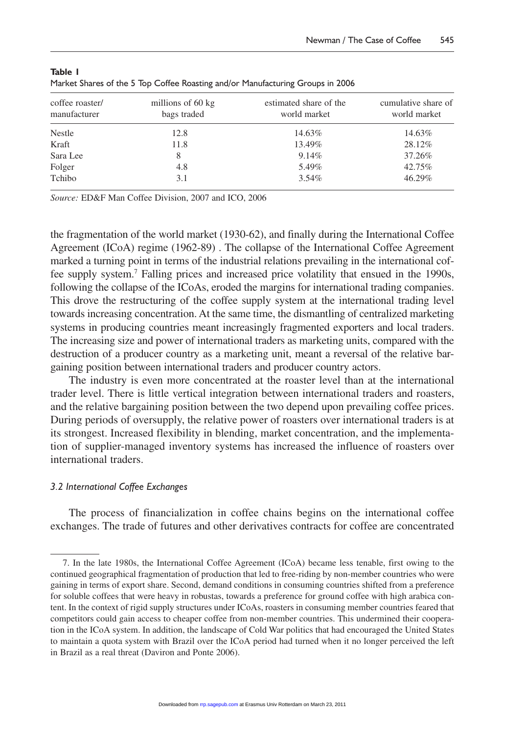| coffee roaster/<br>manufacturer | millions of $60 \text{ kg}$<br>bags traded | estimated share of the<br>world market | cumulative share of<br>world market |
|---------------------------------|--------------------------------------------|----------------------------------------|-------------------------------------|
| Nestle                          | 12.8                                       | 14.63%                                 | 14.63%                              |
| Kraft                           | 11.8                                       | 13.49%                                 | 28.12%                              |
| Sara Lee                        | 8                                          | 9.14%                                  | 37.26%                              |
| Folger                          | 4.8                                        | 5.49%                                  | 42.75%                              |
| Tchibo                          | 3.1                                        | $3.54\%$                               | 46.29%                              |

**Table 1** Market Shares of the 5 Top Coffee Roasting and/or Manufacturing Groups in 2006

*Source:* ED&F Man Coffee Division, 2007 and ICO, 2006

the fragmentation of the world market (1930-62), and finally during the International Coffee Agreement (ICoA) regime (1962-89) . The collapse of the International Coffee Agreement marked a turning point in terms of the industrial relations prevailing in the international coffee supply system.<sup>7</sup> Falling prices and increased price volatility that ensued in the 1990s, following the collapse of the ICoAs, eroded the margins for international trading companies. This drove the restructuring of the coffee supply system at the international trading level towards increasing concentration. At the same time, the dismantling of centralized marketing systems in producing countries meant increasingly fragmented exporters and local traders. The increasing size and power of international traders as marketing units, compared with the destruction of a producer country as a marketing unit, meant a reversal of the relative bargaining position between international traders and producer country actors.

The industry is even more concentrated at the roaster level than at the international trader level. There is little vertical integration between international traders and roasters, and the relative bargaining position between the two depend upon prevailing coffee prices. During periods of oversupply, the relative power of roasters over international traders is at its strongest. Increased flexibility in blending, market concentration, and the implementation of supplier-managed inventory systems has increased the influence of roasters over international traders.

#### *3.2 International Coffee Exchanges*

The process of financialization in coffee chains begins on the international coffee exchanges. The trade of futures and other derivatives contracts for coffee are concentrated

<sup>7.</sup> In the late 1980s, the International Coffee Agreement (ICoA) became less tenable, first owing to the continued geographical fragmentation of production that led to free-riding by non-member countries who were gaining in terms of export share. Second, demand conditions in consuming countries shifted from a preference for soluble coffees that were heavy in robustas, towards a preference for ground coffee with high arabica content. In the context of rigid supply structures under ICoAs, roasters in consuming member countries feared that competitors could gain access to cheaper coffee from non-member countries. This undermined their cooperation in the ICoA system. In addition, the landscape of Cold War politics that had encouraged the United States to maintain a quota system with Brazil over the ICoA period had turned when it no longer perceived the left in Brazil as a real threat (Daviron and Ponte 2006).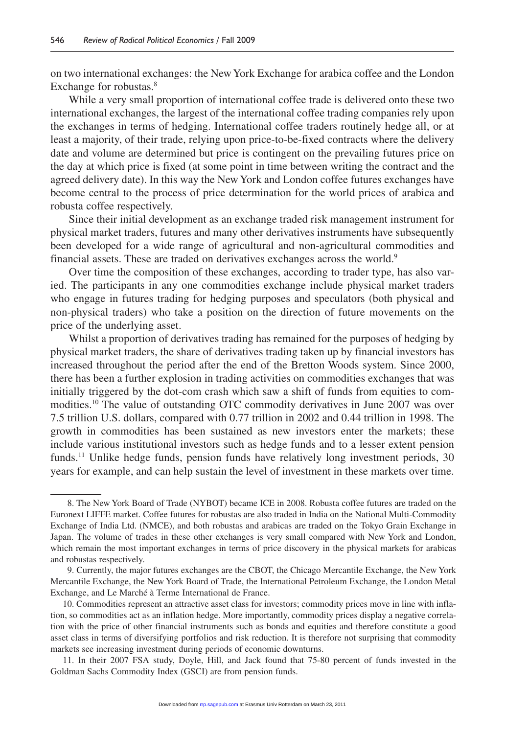on two international exchanges: the New York Exchange for arabica coffee and the London Exchange for robustas.<sup>8</sup>

While a very small proportion of international coffee trade is delivered onto these two international exchanges, the largest of the international coffee trading companies rely upon the exchanges in terms of hedging. International coffee traders routinely hedge all, or at least a majority, of their trade, relying upon price-to-be-fixed contracts where the delivery date and volume are determined but price is contingent on the prevailing futures price on the day at which price is fixed (at some point in time between writing the contract and the agreed delivery date). In this way the New York and London coffee futures exchanges have become central to the process of price determination for the world prices of arabica and robusta coffee respectively.

Since their initial development as an exchange traded risk management instrument for physical market traders, futures and many other derivatives instruments have subsequently been developed for a wide range of agricultural and non-agricultural commodities and financial assets. These are traded on derivatives exchanges across the world.<sup>9</sup>

Over time the composition of these exchanges, according to trader type, has also varied. The participants in any one commodities exchange include physical market traders who engage in futures trading for hedging purposes and speculators (both physical and non-physical traders) who take a position on the direction of future movements on the price of the underlying asset.

Whilst a proportion of derivatives trading has remained for the purposes of hedging by physical market traders, the share of derivatives trading taken up by financial investors has increased throughout the period after the end of the Bretton Woods system. Since 2000, there has been a further explosion in trading activities on commodities exchanges that was initially triggered by the dot-com crash which saw a shift of funds from equities to commodities.10 The value of outstanding OTC commodity derivatives in June 2007 was over 7.5 trillion U.S. dollars, compared with 0.77 trillion in 2002 and 0.44 trillion in 1998. The growth in commodities has been sustained as new investors enter the markets; these include various institutional investors such as hedge funds and to a lesser extent pension funds.<sup>11</sup> Unlike hedge funds, pension funds have relatively long investment periods, 30 years for example, and can help sustain the level of investment in these markets over time.

<sup>8.</sup> The New York Board of Trade (NYBOT) became ICE in 2008. Robusta coffee futures are traded on the Euronext LIFFE market. Coffee futures for robustas are also traded in India on the National Multi-Commodity Exchange of India Ltd. (NMCE), and both robustas and arabicas are traded on the Tokyo Grain Exchange in Japan. The volume of trades in these other exchanges is very small compared with New York and London, which remain the most important exchanges in terms of price discovery in the physical markets for arabicas and robustas respectively.

<sup>9.</sup> Currently, the major futures exchanges are the CBOT, the Chicago Mercantile Exchange, the New York Mercantile Exchange, the New York Board of Trade, the International Petroleum Exchange, the London Metal Exchange, and Le Marché à Terme International de France.

<sup>10.</sup> Commodities represent an attractive asset class for investors; commodity prices move in line with inflation, so commodities act as an inflation hedge. More importantly, commodity prices display a negative correlation with the price of other financial instruments such as bonds and equities and therefore constitute a good asset class in terms of diversifying portfolios and risk reduction. It is therefore not surprising that commodity markets see increasing investment during periods of economic downturns.

<sup>11.</sup> In their 2007 FSA study, Doyle, Hill, and Jack found that 75-80 percent of funds invested in the Goldman Sachs Commodity Index (GSCI) are from pension funds.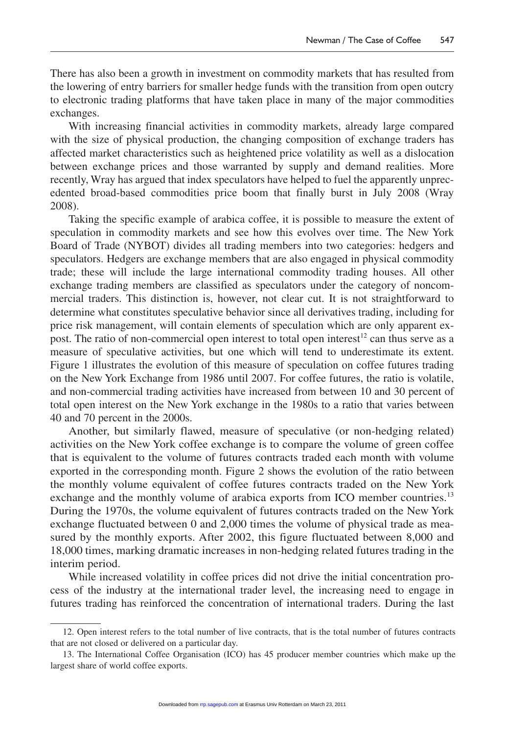There has also been a growth in investment on commodity markets that has resulted from the lowering of entry barriers for smaller hedge funds with the transition from open outcry to electronic trading platforms that have taken place in many of the major commodities exchanges.

With increasing financial activities in commodity markets, already large compared with the size of physical production, the changing composition of exchange traders has affected market characteristics such as heightened price volatility as well as a dislocation between exchange prices and those warranted by supply and demand realities. More recently, Wray has argued that index speculators have helped to fuel the apparently unprecedented broad-based commodities price boom that finally burst in July 2008 (Wray 2008).

Taking the specific example of arabica coffee, it is possible to measure the extent of speculation in commodity markets and see how this evolves over time. The New York Board of Trade (NYBOT) divides all trading members into two categories: hedgers and speculators. Hedgers are exchange members that are also engaged in physical commodity trade; these will include the large international commodity trading houses. All other exchange trading members are classified as speculators under the category of noncommercial traders. This distinction is, however, not clear cut. It is not straightforward to determine what constitutes speculative behavior since all derivatives trading, including for price risk management, will contain elements of speculation which are only apparent expost. The ratio of non-commercial open interest to total open interest<sup>12</sup> can thus serve as a measure of speculative activities, but one which will tend to underestimate its extent. Figure 1 illustrates the evolution of this measure of speculation on coffee futures trading on the New York Exchange from 1986 until 2007. For coffee futures, the ratio is volatile, and non-commercial trading activities have increased from between 10 and 30 percent of total open interest on the New York exchange in the 1980s to a ratio that varies between 40 and 70 percent in the 2000s.

Another, but similarly flawed, measure of speculative (or non-hedging related) activities on the New York coffee exchange is to compare the volume of green coffee that is equivalent to the volume of futures contracts traded each month with volume exported in the corresponding month. Figure 2 shows the evolution of the ratio between the monthly volume equivalent of coffee futures contracts traded on the New York exchange and the monthly volume of arabica exports from ICO member countries.<sup>13</sup> During the 1970s, the volume equivalent of futures contracts traded on the New York exchange fluctuated between 0 and 2,000 times the volume of physical trade as measured by the monthly exports. After 2002, this figure fluctuated between 8,000 and 18,000 times, marking dramatic increases in non-hedging related futures trading in the interim period.

While increased volatility in coffee prices did not drive the initial concentration process of the industry at the international trader level, the increasing need to engage in futures trading has reinforced the concentration of international traders. During the last

<sup>12.</sup> Open interest refers to the total number of live contracts, that is the total number of futures contracts that are not closed or delivered on a particular day.

<sup>13.</sup> The International Coffee Organisation (ICO) has 45 producer member countries which make up the largest share of world coffee exports.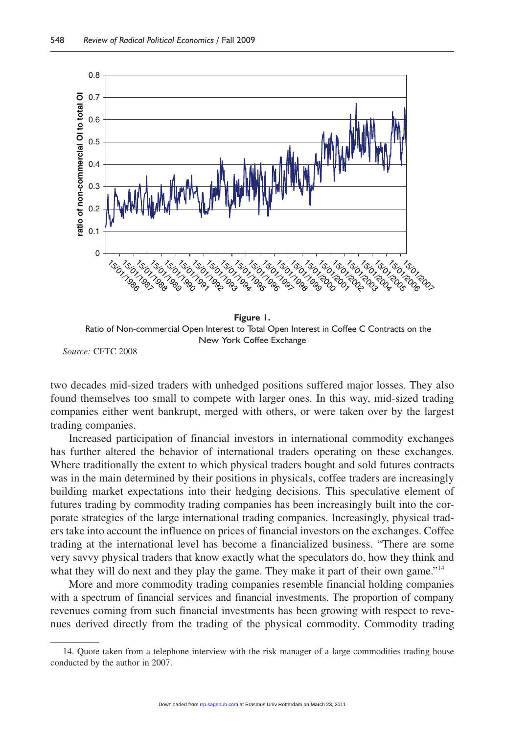

New York Coffee Exchange

*Source:* CFTC 2008

two decades mid-sized traders with unhedged positions suffered major losses. They also found themselves too small to compete with larger ones. In this way, mid-sized trading companies either went bankrupt, merged with others, or were taken over by the largest trading companies.

Increased participation of financial investors in international commodity exchanges has further altered the behavior of international traders operating on these exchanges. Where traditionally the extent to which physical traders bought and sold futures contracts was in the main determined by their positions in physicals, coffee traders are increasingly building market expectations into their hedging decisions. This speculative element of futures trading by commodity trading companies has been increasingly built into the corporate strategies of the large international trading companies. Increasingly, physical traders take into account the influence on prices of financial investors on the exchanges. Coffee trading at the international level has become a financialized business. "There are some very savvy physical traders that know exactly what the speculators do, how they think and what they will do next and they play the game. They make it part of their own game."<sup>14</sup>

More and more commodity trading companies resemble financial holding companies with a spectrum of financial services and financial investments. The proportion of company revenues coming from such financial investments has been growing with respect to revenues derived directly from the trading of the physical commodity. Commodity trading

<sup>14.</sup> Quote taken from a telephone interview with the risk manager of a large commodities trading house conducted by the author in 2007.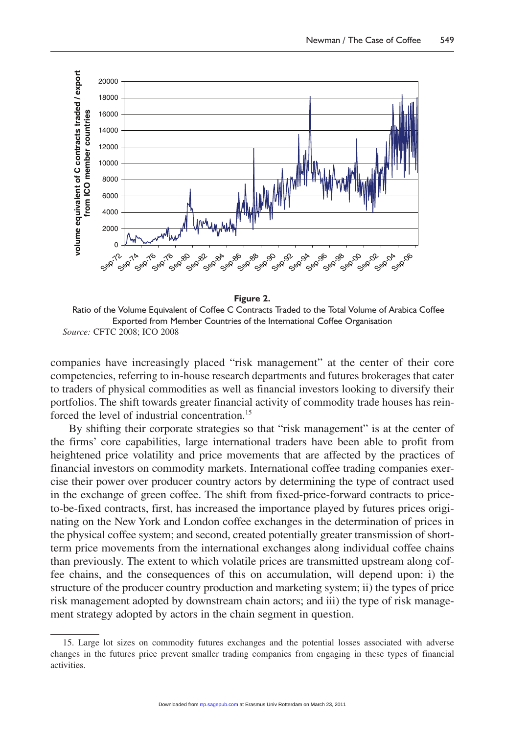

**Figure 2.** Ratio of the Volume Equivalent of Coffee C Contracts Traded to the Total Volume of Arabica Coffee Exported from Member Countries of the International Coffee Organisation *Source:* CFTC 2008; ICO 2008

companies have increasingly placed "risk management" at the center of their core competencies, referring to in-house research departments and futures brokerages that cater to traders of physical commodities as well as financial investors looking to diversify their portfolios. The shift towards greater financial activity of commodity trade houses has reinforced the level of industrial concentration.<sup>15</sup>

By shifting their corporate strategies so that "risk management" is at the center of the firms' core capabilities, large international traders have been able to profit from heightened price volatility and price movements that are affected by the practices of financial investors on commodity markets. International coffee trading companies exercise their power over producer country actors by determining the type of contract used in the exchange of green coffee. The shift from fixed-price-forward contracts to priceto-be-fixed contracts, first, has increased the importance played by futures prices originating on the New York and London coffee exchanges in the determination of prices in the physical coffee system; and second, created potentially greater transmission of shortterm price movements from the international exchanges along individual coffee chains than previously. The extent to which volatile prices are transmitted upstream along coffee chains, and the consequences of this on accumulation, will depend upon: i) the structure of the producer country production and marketing system; ii) the types of price risk management adopted by downstream chain actors; and iii) the type of risk management strategy adopted by actors in the chain segment in question.

<sup>15.</sup> Large lot sizes on commodity futures exchanges and the potential losses associated with adverse changes in the futures price prevent smaller trading companies from engaging in these types of financial activities.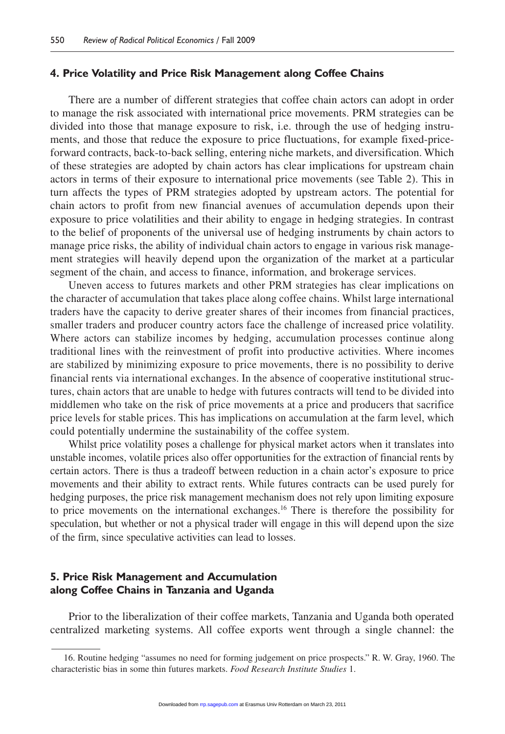#### **4. Price Volatility and Price Risk Management along Coffee Chains**

There are a number of different strategies that coffee chain actors can adopt in order to manage the risk associated with international price movements. PRM strategies can be divided into those that manage exposure to risk, i.e. through the use of hedging instruments, and those that reduce the exposure to price fluctuations, for example fixed-priceforward contracts, back-to-back selling, entering niche markets, and diversification. Which of these strategies are adopted by chain actors has clear implications for upstream chain actors in terms of their exposure to international price movements (see Table 2). This in turn affects the types of PRM strategies adopted by upstream actors. The potential for chain actors to profit from new financial avenues of accumulation depends upon their exposure to price volatilities and their ability to engage in hedging strategies. In contrast to the belief of proponents of the universal use of hedging instruments by chain actors to manage price risks, the ability of individual chain actors to engage in various risk management strategies will heavily depend upon the organization of the market at a particular segment of the chain, and access to finance, information, and brokerage services.

Uneven access to futures markets and other PRM strategies has clear implications on the character of accumulation that takes place along coffee chains. Whilst large international traders have the capacity to derive greater shares of their incomes from financial practices, smaller traders and producer country actors face the challenge of increased price volatility. Where actors can stabilize incomes by hedging, accumulation processes continue along traditional lines with the reinvestment of profit into productive activities. Where incomes are stabilized by minimizing exposure to price movements, there is no possibility to derive financial rents via international exchanges. In the absence of cooperative institutional structures, chain actors that are unable to hedge with futures contracts will tend to be divided into middlemen who take on the risk of price movements at a price and producers that sacrifice price levels for stable prices. This has implications on accumulation at the farm level, which could potentially undermine the sustainability of the coffee system.

Whilst price volatility poses a challenge for physical market actors when it translates into unstable incomes, volatile prices also offer opportunities for the extraction of financial rents by certain actors. There is thus a tradeoff between reduction in a chain actor's exposure to price movements and their ability to extract rents. While futures contracts can be used purely for hedging purposes, the price risk management mechanism does not rely upon limiting exposure to price movements on the international exchanges.16 There is therefore the possibility for speculation, but whether or not a physical trader will engage in this will depend upon the size of the firm, since speculative activities can lead to losses.

#### **5. Price Risk Management and Accumulation along Coffee Chains in Tanzania and Uganda**

Prior to the liberalization of their coffee markets, Tanzania and Uganda both operated centralized marketing systems. All coffee exports went through a single channel: the

<sup>16.</sup> Routine hedging "assumes no need for forming judgement on price prospects." R. W. Gray, 1960. The characteristic bias in some thin futures markets. *Food Research Institute Studies* 1.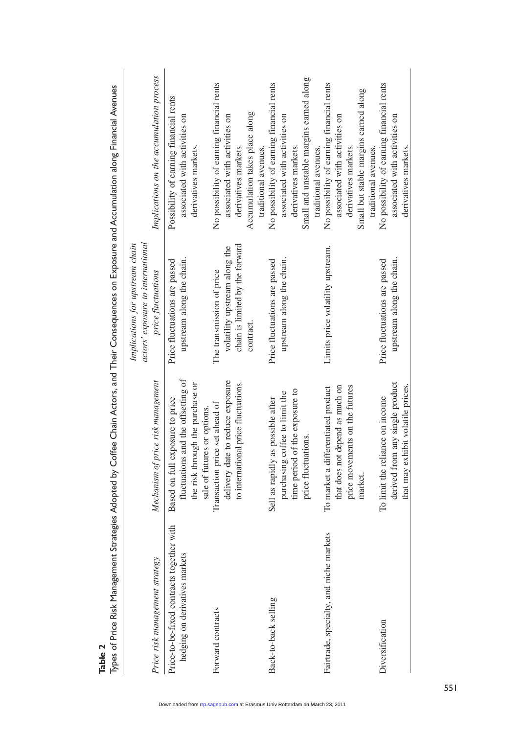| Types of Price Risk Management Strategies Adopted by Coffee Chain Actors, and Their Consequences on Exposure and Accumulation along Financial Avenues<br>annie 4 |                                                                                                                                          |                                                                                                            |                                                                                                                                                                       |
|------------------------------------------------------------------------------------------------------------------------------------------------------------------|------------------------------------------------------------------------------------------------------------------------------------------|------------------------------------------------------------------------------------------------------------|-----------------------------------------------------------------------------------------------------------------------------------------------------------------------|
| Price risk management strategy                                                                                                                                   | Mechanism of price risk management                                                                                                       | actors' exposure to international<br>Implications for upstream chain<br>price fluctuations                 | Implications on the accumulation process                                                                                                                              |
| Price-to-be-fixed contracts together with<br>hedging on derivatives markets                                                                                      | fluctuations and the offsetting of<br>the risk through the purchase or<br>Based on full exposure to price<br>sale of futures or options. | upstream along the chain.<br>Price fluctuations are passed                                                 | Possibility of earning financial rents<br>associated with activities on<br>derivatives markets.                                                                       |
| Forward contracts                                                                                                                                                | delivery date to reduce exposure<br>to international price fluctuations.<br>Transaction price set ahead of                               | chain is limited by the forward<br>volatility upstream along the<br>The transmission of price<br>contract. | No possibility of earning financial rents<br>Accumulation takes place along<br>associated with activities on<br>derivatives markets.<br>traditional avenues.          |
| Back-to-back selling                                                                                                                                             | time period of the exposure to<br>purchasing coffee to limit the<br>Sell as rapidly as possible after<br>price fluctuations.             | upstream along the chain.<br>Price fluctuations are passed                                                 | Small and unstable margins earned along<br>No possibility of earning financial rents<br>associated with activities on<br>derivatives markets.<br>traditional avenues. |
| Fairtrade, specialty, and niche markets                                                                                                                          | price movements on the futures<br>that does not depend as much on<br>To market a differentiated product<br>market.                       | Limits price volatility upstream.                                                                          | No possibility of earning financial rents<br>Small but stable margins earned along<br>associated with activities on<br>derivatives markets.<br>traditional avenues.   |
| Diversification                                                                                                                                                  | derived from any single product<br>that may exhibit volatile prices.<br>To limit the reliance on income                                  | Price fluctuations are passed<br>upstream along the chain                                                  | No possibility of earning financial rents<br>associated with activities on<br>derivatives markets.                                                                    |

**Table 2**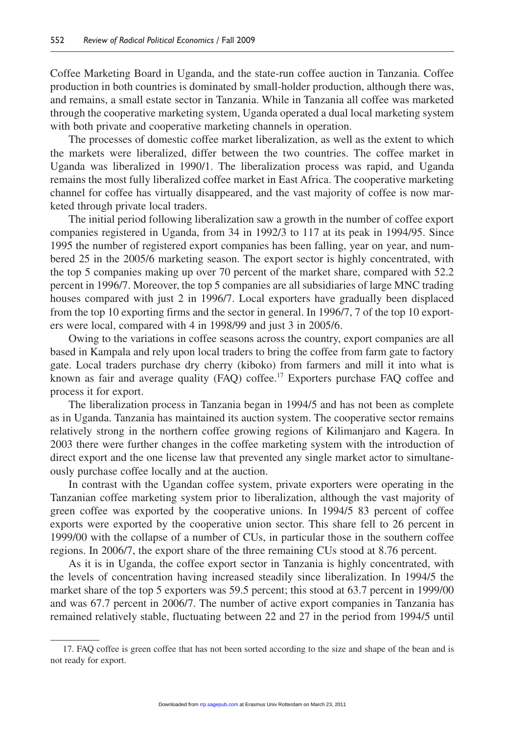Coffee Marketing Board in Uganda, and the state-run coffee auction in Tanzania. Coffee production in both countries is dominated by small-holder production, although there was, and remains, a small estate sector in Tanzania. While in Tanzania all coffee was marketed through the cooperative marketing system, Uganda operated a dual local marketing system with both private and cooperative marketing channels in operation.

The processes of domestic coffee market liberalization, as well as the extent to which the markets were liberalized, differ between the two countries. The coffee market in Uganda was liberalized in 1990/1. The liberalization process was rapid, and Uganda remains the most fully liberalized coffee market in East Africa. The cooperative marketing channel for coffee has virtually disappeared, and the vast majority of coffee is now marketed through private local traders.

The initial period following liberalization saw a growth in the number of coffee export companies registered in Uganda, from 34 in 1992/3 to 117 at its peak in 1994/95. Since 1995 the number of registered export companies has been falling, year on year, and numbered 25 in the 2005/6 marketing season. The export sector is highly concentrated, with the top 5 companies making up over 70 percent of the market share, compared with 52.2 percent in 1996/7. Moreover, the top 5 companies are all subsidiaries of large MNC trading houses compared with just 2 in 1996/7. Local exporters have gradually been displaced from the top 10 exporting firms and the sector in general. In 1996/7, 7 of the top 10 exporters were local, compared with 4 in 1998/99 and just 3 in 2005/6.

Owing to the variations in coffee seasons across the country, export companies are all based in Kampala and rely upon local traders to bring the coffee from farm gate to factory gate. Local traders purchase dry cherry (kiboko) from farmers and mill it into what is known as fair and average quality (FAQ) coffee.<sup>17</sup> Exporters purchase FAQ coffee and process it for export.

The liberalization process in Tanzania began in 1994/5 and has not been as complete as in Uganda. Tanzania has maintained its auction system. The cooperative sector remains relatively strong in the northern coffee growing regions of Kilimanjaro and Kagera. In 2003 there were further changes in the coffee marketing system with the introduction of direct export and the one license law that prevented any single market actor to simultaneously purchase coffee locally and at the auction.

In contrast with the Ugandan coffee system, private exporters were operating in the Tanzanian coffee marketing system prior to liberalization, although the vast majority of green coffee was exported by the cooperative unions. In 1994/5 83 percent of coffee exports were exported by the cooperative union sector. This share fell to 26 percent in 1999/00 with the collapse of a number of CUs, in particular those in the southern coffee regions. In 2006/7, the export share of the three remaining CUs stood at 8.76 percent.

As it is in Uganda, the coffee export sector in Tanzania is highly concentrated, with the levels of concentration having increased steadily since liberalization. In 1994/5 the market share of the top 5 exporters was 59.5 percent; this stood at 63.7 percent in 1999/00 and was 67.7 percent in 2006/7. The number of active export companies in Tanzania has remained relatively stable, fluctuating between 22 and 27 in the period from 1994/5 until

<sup>17.</sup> FAQ coffee is green coffee that has not been sorted according to the size and shape of the bean and is not ready for export.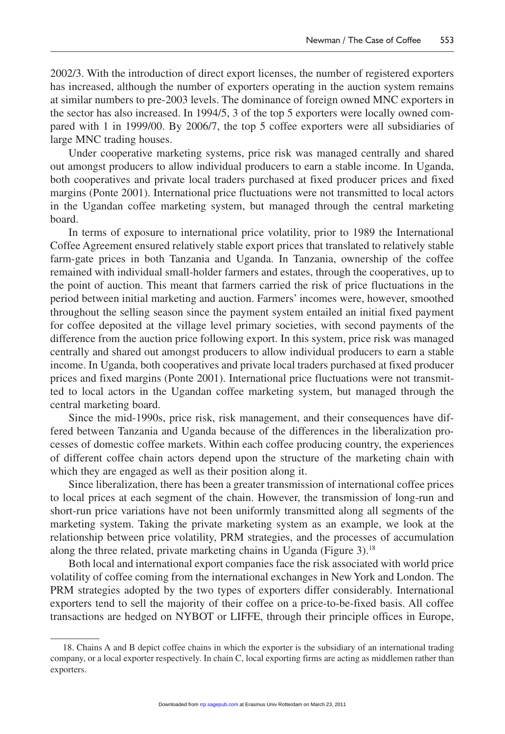2002/3. With the introduction of direct export licenses, the number of registered exporters has increased, although the number of exporters operating in the auction system remains at similar numbers to pre-2003 levels. The dominance of foreign owned MNC exporters in the sector has also increased. In 1994/5, 3 of the top 5 exporters were locally owned compared with 1 in 1999/00. By 2006/7, the top 5 coffee exporters were all subsidiaries of large MNC trading houses.

Under cooperative marketing systems, price risk was managed centrally and shared out amongst producers to allow individual producers to earn a stable income. In Uganda, both cooperatives and private local traders purchased at fixed producer prices and fixed margins (Ponte 2001). International price fluctuations were not transmitted to local actors in the Ugandan coffee marketing system, but managed through the central marketing board.

In terms of exposure to international price volatility, prior to 1989 the International Coffee Agreement ensured relatively stable export prices that translated to relatively stable farm-gate prices in both Tanzania and Uganda. In Tanzania, ownership of the coffee remained with individual small-holder farmers and estates, through the cooperatives, up to the point of auction. This meant that farmers carried the risk of price fluctuations in the period between initial marketing and auction. Farmers' incomes were, however, smoothed throughout the selling season since the payment system entailed an initial fixed payment for coffee deposited at the village level primary societies, with second payments of the difference from the auction price following export. In this system, price risk was managed centrally and shared out amongst producers to allow individual producers to earn a stable income. In Uganda, both cooperatives and private local traders purchased at fixed producer prices and fixed margins (Ponte 2001). International price fluctuations were not transmitted to local actors in the Ugandan coffee marketing system, but managed through the central marketing board.

Since the mid-1990s, price risk, risk management, and their consequences have differed between Tanzania and Uganda because of the differences in the liberalization processes of domestic coffee markets. Within each coffee producing country, the experiences of different coffee chain actors depend upon the structure of the marketing chain with which they are engaged as well as their position along it.

Since liberalization, there has been a greater transmission of international coffee prices to local prices at each segment of the chain. However, the transmission of long-run and short-run price variations have not been uniformly transmitted along all segments of the marketing system. Taking the private marketing system as an example, we look at the relationship between price volatility, PRM strategies, and the processes of accumulation along the three related, private marketing chains in Uganda (Figure 3).<sup>18</sup>

Both local and international export companies face the risk associated with world price volatility of coffee coming from the international exchanges in New York and London. The PRM strategies adopted by the two types of exporters differ considerably. International exporters tend to sell the majority of their coffee on a price-to-be-fixed basis. All coffee transactions are hedged on NYBOT or Liffe, through their principle offices in Europe,

<sup>18.</sup> Chains A and B depict coffee chains in which the exporter is the subsidiary of an international trading company, or a local exporter respectively. In chain C, local exporting firms are acting as middlemen rather than exporters.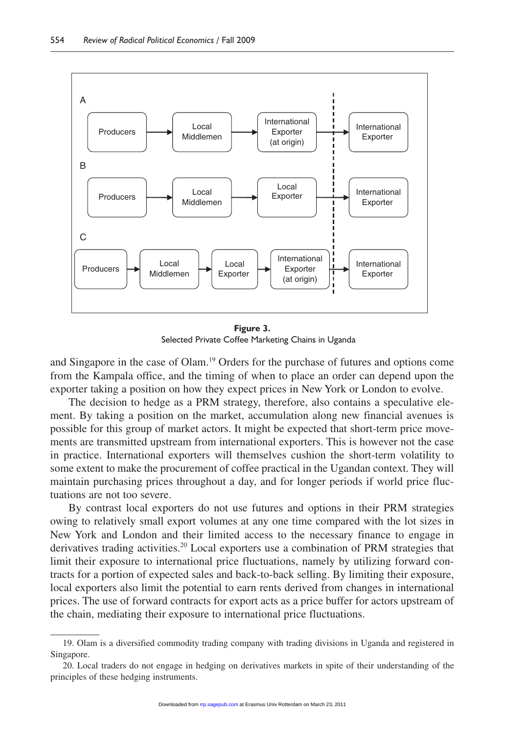

**Figure 3.** Selected Private Coffee Marketing Chains in Uganda

and Singapore in the case of Olam.19 Orders for the purchase of futures and options come from the Kampala office, and the timing of when to place an order can depend upon the exporter taking a position on how they expect prices in New York or London to evolve.

The decision to hedge as a PRM strategy, therefore, also contains a speculative element. By taking a position on the market, accumulation along new financial avenues is possible for this group of market actors. It might be expected that short-term price movements are transmitted upstream from international exporters. This is however not the case in practice. International exporters will themselves cushion the short-term volatility to some extent to make the procurement of coffee practical in the Ugandan context. They will maintain purchasing prices throughout a day, and for longer periods if world price fluctuations are not too severe.

By contrast local exporters do not use futures and options in their PRM strategies owing to relatively small export volumes at any one time compared with the lot sizes in New York and London and their limited access to the necessary finance to engage in derivatives trading activities.<sup>20</sup> Local exporters use a combination of PRM strategies that limit their exposure to international price fluctuations, namely by utilizing forward contracts for a portion of expected sales and back-to-back selling. By limiting their exposure, local exporters also limit the potential to earn rents derived from changes in international prices. The use of forward contracts for export acts as a price buffer for actors upstream of the chain, mediating their exposure to international price fluctuations.

<sup>19.</sup> Olam is a diversified commodity trading company with trading divisions in Uganda and registered in Singapore.

<sup>20.</sup> Local traders do not engage in hedging on derivatives markets in spite of their understanding of the principles of these hedging instruments.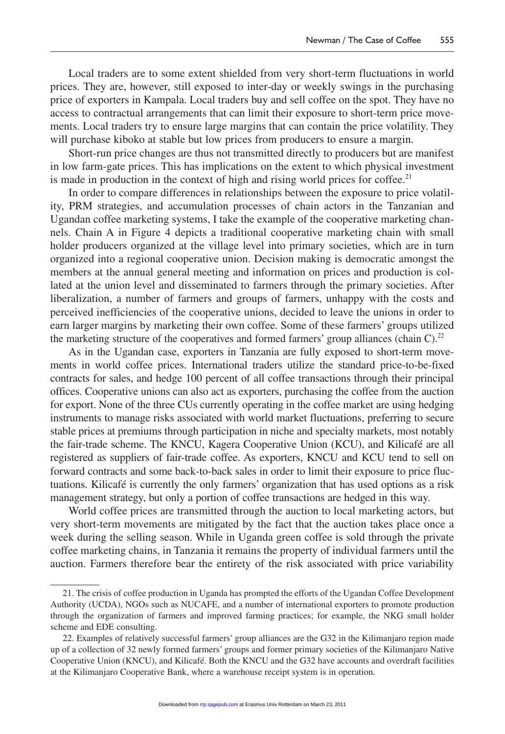Local traders are to some extent shielded from very short-term fluctuations in world prices. They are, however, still exposed to inter-day or weekly swings in the purchasing price of exporters in Kampala. Local traders buy and sell coffee on the spot. They have no access to contractual arrangements that can limit their exposure to short-term price movements. Local traders try to ensure large margins that can contain the price volatility. They will purchase kiboko at stable but low prices from producers to ensure a margin.

Short-run price changes are thus not transmitted directly to producers but are manifest in low farm-gate prices. This has implications on the extent to which physical investment is made in production in the context of high and rising world prices for coffee.<sup>21</sup>

In order to compare differences in relationships between the exposure to price volatility, PRM strategies, and accumulation processes of chain actors in the Tanzanian and Ugandan coffee marketing systems, I take the example of the cooperative marketing channels. Chain A in Figure 4 depicts a traditional cooperative marketing chain with small holder producers organized at the village level into primary societies, which are in turn organized into a regional cooperative union. Decision making is democratic amongst the members at the annual general meeting and information on prices and production is collated at the union level and disseminated to farmers through the primary societies. After liberalization, a number of farmers and groups of farmers, unhappy with the costs and perceived inefficiencies of the cooperative unions, decided to leave the unions in order to earn larger margins by marketing their own coffee. Some of these farmers' groups utilized the marketing structure of the cooperatives and formed farmers' group alliances (chain  $C$ ).<sup>22</sup>

As in the Ugandan case, exporters in Tanzania are fully exposed to short-term movements in world coffee prices. International traders utilize the standard price-to-be-fixed contracts for sales, and hedge 100 percent of all coffee transactions through their principal offices. Cooperative unions can also act as exporters, purchasing the coffee from the auction for export. None of the three CUs currently operating in the coffee market are using hedging instruments to manage risks associated with world market fluctuations, preferring to secure stable prices at premiums through participation in niche and specialty markets, most notably the fair-trade scheme. The KNCU, Kagera Cooperative Union (KCU), and Kilicafé are all registered as suppliers of fair-trade coffee. As exporters, KNCU and KCU tend to sell on forward contracts and some back-to-back sales in order to limit their exposure to price fluctuations. Kilicafé is currently the only farmers' organization that has used options as a risk management strategy, but only a portion of coffee transactions are hedged in this way.

World coffee prices are transmitted through the auction to local marketing actors, but very short-term movements are mitigated by the fact that the auction takes place once a week during the selling season. While in Uganda green coffee is sold through the private coffee marketing chains, in Tanzania it remains the property of individual farmers until the auction. Farmers therefore bear the entirety of the risk associated with price variability

<sup>21.</sup> The crisis of coffee production in Uganda has prompted the efforts of the Ugandan Coffee Development Authority (UCDA), NGOs such as NUCAFE, and a number of international exporters to promote production through the organization of farmers and improved farming practices; for example, the NKG small holder scheme and EDE consulting.

<sup>22.</sup> Examples of relatively successful farmers' group alliances are the G32 in the Kilimanjaro region made up of a collection of 32 newly formed farmers' groups and former primary societies of the Kilimanjaro Native Cooperative Union (KNCU), and Kilicafé. Both the KNCU and the G32 have accounts and overdraft facilities at the Kilimanjaro Cooperative Bank, where a warehouse receipt system is in operation.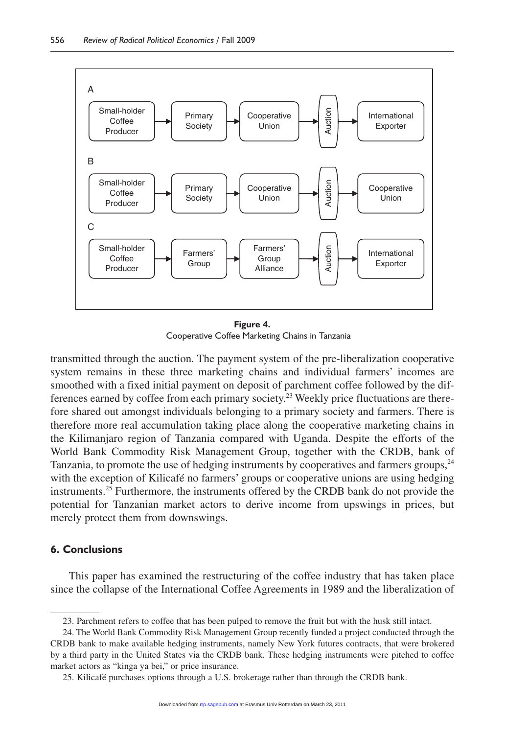

**Figure 4.** Cooperative Coffee Marketing Chains in Tanzania

transmitted through the auction. The payment system of the pre-liberalization cooperative system remains in these three marketing chains and individual farmers' incomes are smoothed with a fixed initial payment on deposit of parchment coffee followed by the differences earned by coffee from each primary society.<sup>23</sup> Weekly price fluctuations are therefore shared out amongst individuals belonging to a primary society and farmers. There is therefore more real accumulation taking place along the cooperative marketing chains in the Kilimanjaro region of Tanzania compared with Uganda. Despite the efforts of the World Bank Commodity Risk Management Group, together with the CRDB, bank of Tanzania, to promote the use of hedging instruments by cooperatives and farmers groups,  $24$ with the exception of Kilicafé no farmers' groups or cooperative unions are using hedging instruments.<sup>25</sup> Furthermore, the instruments offered by the CRDB bank do not provide the potential for Tanzanian market actors to derive income from upswings in prices, but merely protect them from downswings.

#### **6. Conclusions**

This paper has examined the restructuring of the coffee industry that has taken place since the collapse of the International Coffee Agreements in 1989 and the liberalization of

<sup>23.</sup> Parchment refers to coffee that has been pulped to remove the fruit but with the husk still intact.

<sup>24.</sup> The World Bank Commodity Risk Management Group recently funded a project conducted through the CRDB bank to make available hedging instruments, namely New York futures contracts, that were brokered by a third party in the United States via the CRDB bank. These hedging instruments were pitched to coffee market actors as "kinga ya bei," or price insurance.

<sup>25.</sup> Kilicafé purchases options through a U.S. brokerage rather than through the CRDB bank.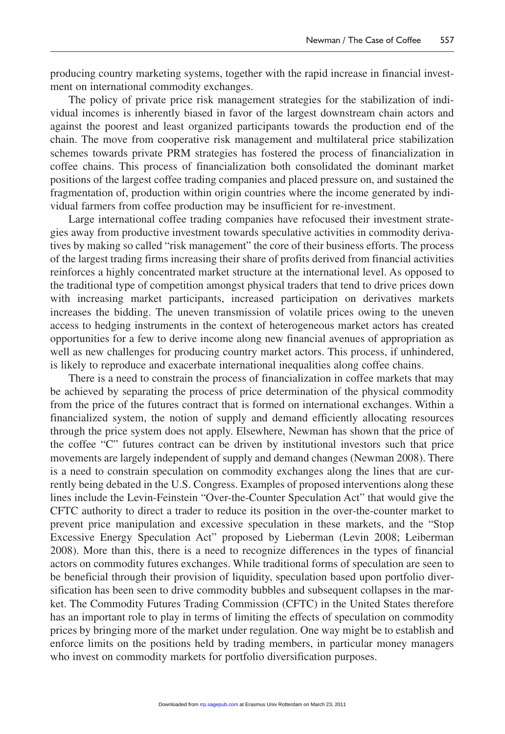producing country marketing systems, together with the rapid increase in financial investment on international commodity exchanges.

The policy of private price risk management strategies for the stabilization of individual incomes is inherently biased in favor of the largest downstream chain actors and against the poorest and least organized participants towards the production end of the chain. The move from cooperative risk management and multilateral price stabilization schemes towards private PRM strategies has fostered the process of financialization in coffee chains. This process of financialization both consolidated the dominant market positions of the largest coffee trading companies and placed pressure on, and sustained the fragmentation of, production within origin countries where the income generated by individual farmers from coffee production may be insufficient for re-investment.

Large international coffee trading companies have refocused their investment strategies away from productive investment towards speculative activities in commodity derivatives by making so called "risk management" the core of their business efforts. The process of the largest trading firms increasing their share of profits derived from financial activities reinforces a highly concentrated market structure at the international level. As opposed to the traditional type of competition amongst physical traders that tend to drive prices down with increasing market participants, increased participation on derivatives markets increases the bidding. The uneven transmission of volatile prices owing to the uneven access to hedging instruments in the context of heterogeneous market actors has created opportunities for a few to derive income along new financial avenues of appropriation as well as new challenges for producing country market actors. This process, if unhindered, is likely to reproduce and exacerbate international inequalities along coffee chains.

There is a need to constrain the process of financialization in coffee markets that may be achieved by separating the process of price determination of the physical commodity from the price of the futures contract that is formed on international exchanges. Within a financialized system, the notion of supply and demand efficiently allocating resources through the price system does not apply. Elsewhere, Newman has shown that the price of the coffee "C" futures contract can be driven by institutional investors such that price movements are largely independent of supply and demand changes (Newman 2008). There is a need to constrain speculation on commodity exchanges along the lines that are currently being debated in the U.S. Congress. Examples of proposed interventions along these lines include the Levin-Feinstein "Over-the-Counter Speculation Act" that would give the CFTC authority to direct a trader to reduce its position in the over-the-counter market to prevent price manipulation and excessive speculation in these markets, and the "Stop Excessive Energy Speculation Act" proposed by Lieberman (Levin 2008; Leiberman 2008). More than this, there is a need to recognize differences in the types of financial actors on commodity futures exchanges. While traditional forms of speculation are seen to be beneficial through their provision of liquidity, speculation based upon portfolio diversification has been seen to drive commodity bubbles and subsequent collapses in the market. The Commodity Futures Trading Commission (CFTC) in the United States therefore has an important role to play in terms of limiting the effects of speculation on commodity prices by bringing more of the market under regulation. One way might be to establish and enforce limits on the positions held by trading members, in particular money managers who invest on commodity markets for portfolio diversification purposes.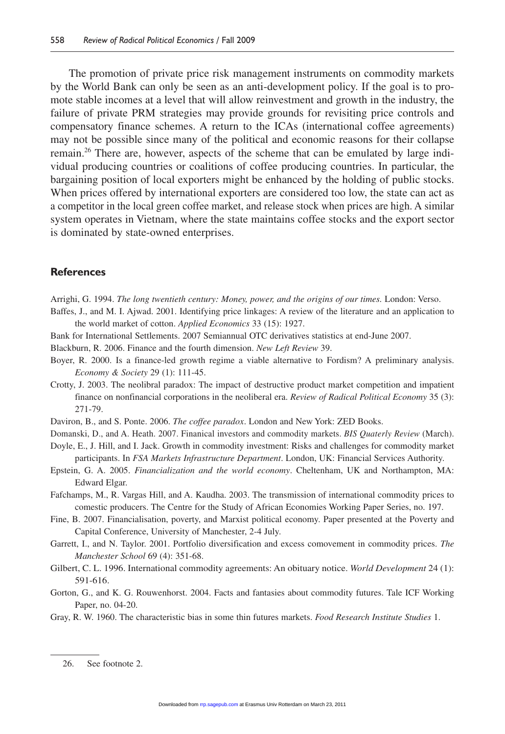The promotion of private price risk management instruments on commodity markets by the World Bank can only be seen as an anti-development policy. If the goal is to promote stable incomes at a level that will allow reinvestment and growth in the industry, the failure of private PRM strategies may provide grounds for revisiting price controls and compensatory finance schemes. A return to the ICAs (international coffee agreements) may not be possible since many of the political and economic reasons for their collapse remain.<sup>26</sup> There are, however, aspects of the scheme that can be emulated by large individual producing countries or coalitions of coffee producing countries. In particular, the bargaining position of local exporters might be enhanced by the holding of public stocks. When prices offered by international exporters are considered too low, the state can act as a competitor in the local green coffee market, and release stock when prices are high. A similar system operates in Vietnam, where the state maintains coffee stocks and the export sector is dominated by state-owned enterprises.

#### **References**

- Arrighi, G. 1994. *The long twentieth century: Money, power, and the origins of our times.* London: Verso.
- Baffes, J., and M. I. Ajwad. 2001. Identifying price linkages: A review of the literature and an application to the world market of cotton. *Applied Economics* 33 (15): 1927.
- Bank for International Settlements. 2007 Semiannual OTC derivatives statistics at end-June 2007.
- Blackburn, R. 2006. Finance and the fourth dimension. *New Left Review* 39.
- Boyer, R. 2000. Is a finance-led growth regime a viable alternative to Fordism? A preliminary analysis. *Economy & Society* 29 (1): 111-45.
- Crotty, J. 2003. The neolibral paradox: The impact of destructive product market competition and impatient finance on nonfinancial corporations in the neoliberal era. *Review of Radical Political Economy* 35 (3): 271-79.
- Daviron, B., and S. Ponte. 2006. *The coffee paradox*. London and New York: ZED Books.
- Domanski, D., and A. Heath. 2007. Finanical investors and commodity markets. *BIS Quaterly Review* (March).
- Doyle, E., J. Hill, and I. Jack. Growth in commodity investment: Risks and challenges for commodity market participants. In *FSA Markets Infrastructure Department*. London, UK: Financial Services Authority.
- Epstein, G. A. 2005. *Financialization and the world economy*. Cheltenham, UK and Northampton, MA: Edward Elgar.
- Fafchamps, M., R. Vargas Hill, and A. Kaudha. 2003. The transmission of international commodity prices to comestic producers. The Centre for the Study of African Economies Working Paper Series, no. 197.
- Fine, B. 2007. Financialisation, poverty, and Marxist political economy. Paper presented at the Poverty and Capital Conference, University of Manchester, 2-4 July.
- Garrett, I., and N. Taylor. 2001. Portfolio diversification and excess comovement in commodity prices. *The Manchester School* 69 (4): 351-68.
- Gilbert, C. L. 1996. International commodity agreements: An obituary notice. *World Development* 24 (1): 591-616.
- Gorton, G., and K. G. Rouwenhorst. 2004. Facts and fantasies about commodity futures. Tale ICF Working Paper, no. 04-20.
- Gray, R. W. 1960. The characteristic bias in some thin futures markets. *Food Research Institute Studies* 1.

<sup>26.</sup> See footnote 2.